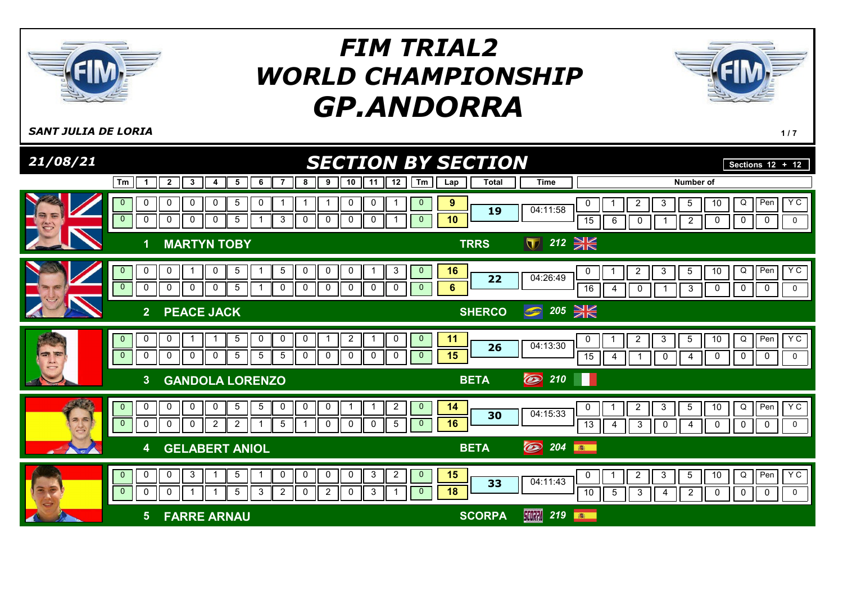



SANT JULIA DE LORIA PROVIDIDADE EN LA CARACTERA EN 1989, ESPECIAL EN 1989, ESPECIAL EN 1989, ESPECIAL EN 1989,

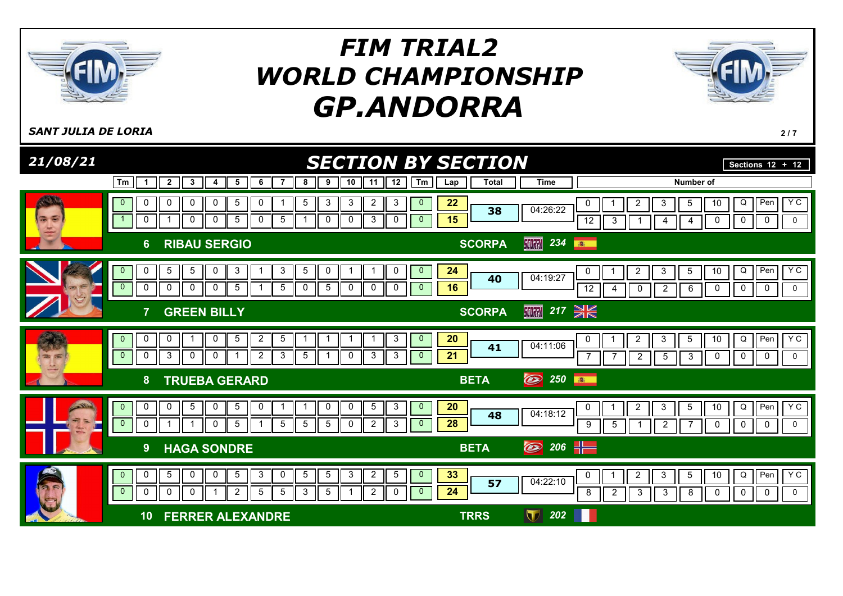



SANT JULIA DE LORIA 217

| 21/08/21                            |                                                                                                                                                                                            | <b>SECTION BY SECTION</b>                                                                                                            | Sections $\overline{12 + 12}$                                                                                                                                                                                             |
|-------------------------------------|--------------------------------------------------------------------------------------------------------------------------------------------------------------------------------------------|--------------------------------------------------------------------------------------------------------------------------------------|---------------------------------------------------------------------------------------------------------------------------------------------------------------------------------------------------------------------------|
|                                     | Tm<br>$\overline{2}$<br>3<br>5<br>6<br>7<br>8<br>4<br>1                                                                                                                                    | 12<br>Tm<br>9<br>10<br>11<br><b>Total</b><br>Lap                                                                                     | Number of<br><b>Time</b>                                                                                                                                                                                                  |
| <b>ARANTH</b><br>G<br>$\Rightarrow$ | $\mathbf 0$<br>5<br>$\overline{0}$<br>0<br>0<br>0<br>5<br>0<br>0<br>5<br>5<br>$\overline{1}$<br>0<br>$\mathbf 0$<br>$\mathbf 0$                                                            | 3<br>$\mathbf{3}$<br>$\overline{c}$<br>3<br>22<br>$\overline{0}$<br>38<br>15<br>$\mathbf 0$<br>3<br>$\mathbf{0}$<br>$\mathbf 0$<br>0 | Y C<br>$\overline{2}$<br>$\overline{Q}$<br>Pen<br>$\mathbf{3}$<br>$5\phantom{.0}$<br>10<br>0<br>04:26:22<br>$\overline{12}$<br>$\overline{0}$<br>0<br>3<br>0<br>$\mathbf 0$<br>4<br>4                                     |
|                                     | <b>RIBAU SERGIO</b><br>$6\phantom{1}$                                                                                                                                                      | <b>SCORPA</b>                                                                                                                        | 【【【】】 234<br>图                                                                                                                                                                                                            |
| G-                                  | 5<br>5<br>0<br>5<br>0<br>3<br>3<br>$\mathbf{0}$<br>1<br>$\overline{0}$<br>0<br>$\mathbf 0$<br>0<br>$\mathbf 0$<br>5<br>5<br>0<br>$\mathbf{1}$                                              | 24<br>0<br>0<br>$\mathbf{0}$<br>-1<br>r<br>40<br>16<br>5<br>$\mathbf 0$<br>$\mathbf{0}$<br>0<br>0                                    | YC<br>Q<br>$\overline{P}$ en<br>2<br>3<br>5<br>10<br>0<br>04:19:27<br>0<br>$\mathbf 0$<br>12<br>$\overline{2}$<br>6<br>$\mathbf 0$<br>$\pmb{0}$<br>0<br>4                                                                 |
|                                     | <b>GREEN BILLY</b>                                                                                                                                                                         | <b>SCORPA</b>                                                                                                                        | 217 $\frac{1}{2}$<br><b>SCORPA</b>                                                                                                                                                                                        |
| <b>200 (200</b>                     | $\overline{2}$<br>0<br>0<br>0<br>5<br>5<br>$\mathbf{0}$<br>-1<br>$\mathbf{0}$<br>$\mathbf{3}$<br>$\mathsf 0$<br>$\pmb{0}$<br>$\overline{2}$<br>3<br>5<br>$\mathbf 0$                       | 20<br>3<br>-1<br>$\mathbf{0}$<br>-1<br>41<br>21<br>$\mathbf 0$<br>3<br>3<br>$\overline{0}$                                           | Y C<br>$\overline{Q}$<br>Pen<br>10<br>$\overline{c}$<br>$\mathbf{3}$<br>5<br>0<br>04:11:06<br>$\mathbf 0$<br>$\mathbf 0$<br>$\overline{7}$<br>$\overline{2}$<br>$\overline{5}$<br>3<br>0<br>$\mathbf 0$<br>$\overline{7}$ |
|                                     | <b>TRUEBA GERARD</b><br>8                                                                                                                                                                  | <b>BETA</b>                                                                                                                          | O<br>250<br>高                                                                                                                                                                                                             |
|                                     | $\sqrt{5}$<br>0<br>0<br>0<br>5<br>0<br>$\mathbf{0}$<br>-1<br>-1<br>$\overline{0}$<br>$\mathbf 0$<br>$\mathbf 0$<br>$5\overline{)}$<br>5<br>5<br>$\mathbf{1}$                               | 3<br>20<br>0<br>5<br>$\overline{0}$<br>0<br>48<br>28<br>5<br>0<br>$\overline{2}$<br>3<br>$\mathbf{0}$                                | $Y$ C<br>Pen<br>$\overline{2}$<br>3<br>5<br>10<br>Q<br>0<br>04:18:12<br>$\mathbf 0$<br>$\mathbf 0$<br>$\mathbf 0$<br>9<br>$5\phantom{.0}$<br>$\overline{2}$<br>$\overline{7}$<br>0<br>1                                   |
|                                     | <b>HAGA SONDRE</b><br>9                                                                                                                                                                    | <b>BETA</b>                                                                                                                          | $206$ $-$<br>$\circledast$                                                                                                                                                                                                |
| 53<br>$\rightarrow$ $\sim$          | $5\phantom{.0}$<br>$\mathbf 0$<br>$\overline{5}$<br>$\overline{0}$<br>0<br>$\mathbf 0$<br>5<br>3<br>0<br>$\mathbf{0}$<br>3<br>0<br>$\mathbf 0$<br>5<br>5<br>$\mathbf{0}$<br>$\overline{2}$ | 33<br>3<br>$\overline{a}$<br>$\sqrt{5}$<br>5<br>$\mathbf{0}$<br>57<br>24<br>5<br>$\overline{2}$<br>-1<br>0<br>$\mathbf{0}$           | Y C<br>$\overline{O}$<br>10<br>Pen<br>$\overline{2}$<br>3<br>$5\phantom{.0}$<br>$\pmb{0}$<br>04:22:10<br>8<br>$\overline{2}$<br>$\sqrt{3}$<br>$\sqrt{3}$<br>8<br>0<br>$\mathbf 0$<br>$\mathbf 0$<br>0                     |
|                                     | <b>FERRER ALEXANDRE</b><br>10                                                                                                                                                              | <b>TRRS</b>                                                                                                                          | 202<br>$\bf \nabla$                                                                                                                                                                                                       |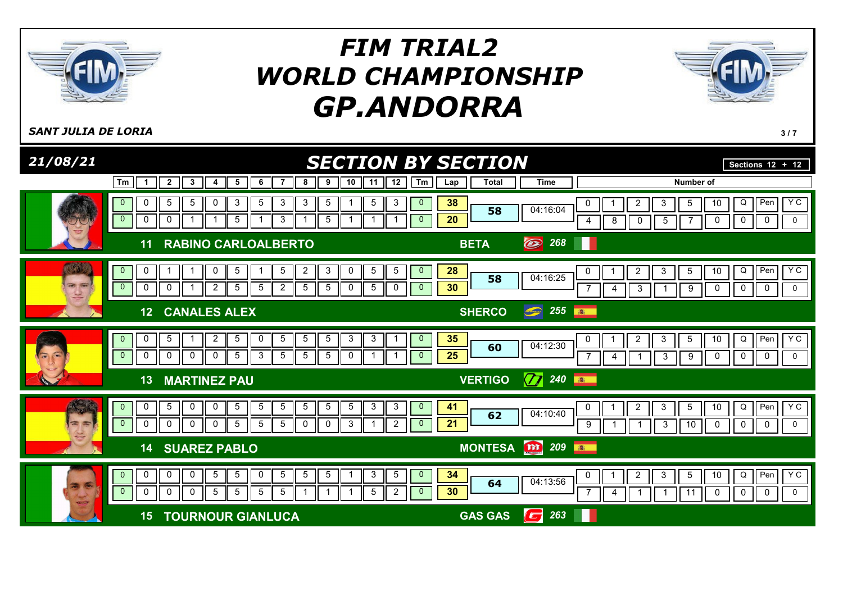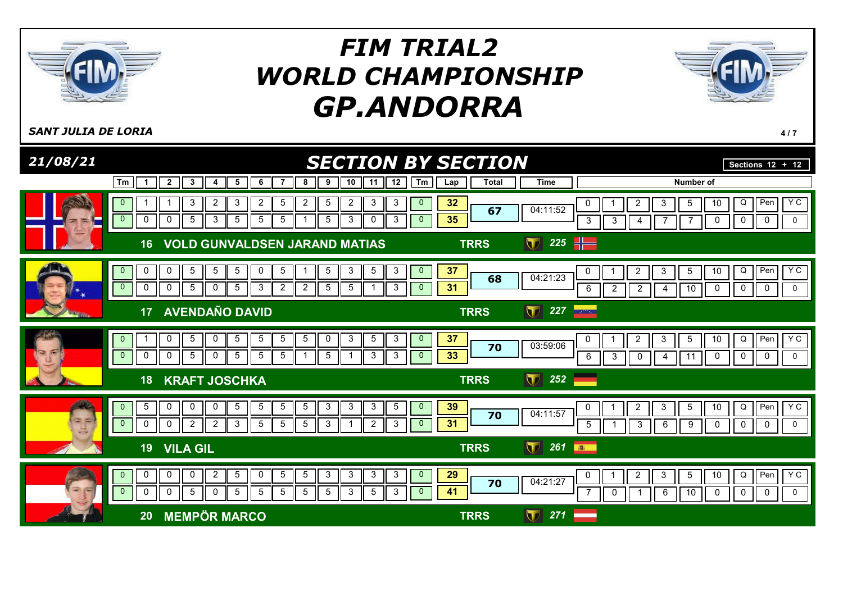



SANT JULIA DE LORIA 4 / 7

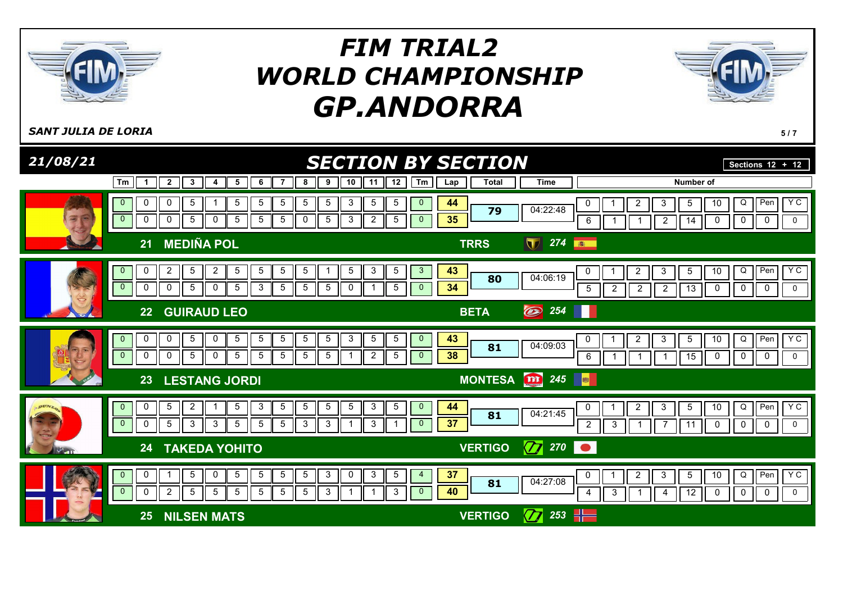



SANT JULIA DE LORIA 5 / 7

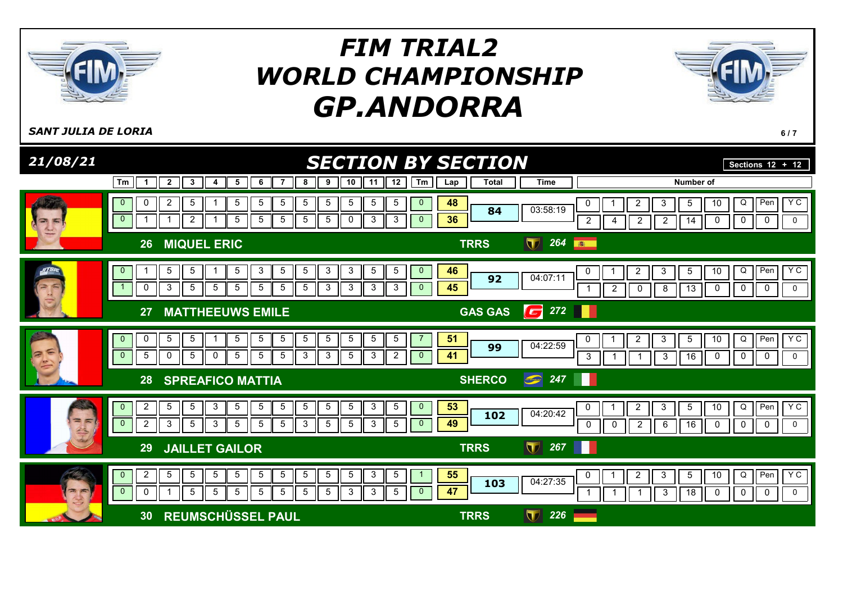



SANT JULIA DE LORIA **617** 

| 21/08/21 | <b>SECTION BY SECTION</b>                                                                                                                                                                                                                                                                                                                                                                                      |                     | Sections $12 + 12$                                                                                                                                                                                           |
|----------|----------------------------------------------------------------------------------------------------------------------------------------------------------------------------------------------------------------------------------------------------------------------------------------------------------------------------------------------------------------------------------------------------------------|---------------------|--------------------------------------------------------------------------------------------------------------------------------------------------------------------------------------------------------------|
|          | $\overline{2}$<br>12<br>Tm<br>3<br>6<br>8<br>9<br>10<br>11<br>Tm<br>5<br>7<br>4<br>-1                                                                                                                                                                                                                                                                                                                          | <b>Total</b><br>Lap | <b>Time</b><br>Number of                                                                                                                                                                                     |
|          | $\overline{2}$<br>$5\phantom{.0}$<br>5<br>5<br>5<br>5<br>5<br>5<br>5<br>5<br>$\overline{0}$<br>0<br>$\mathbf 0$<br>$\overline{0}$<br>$5\phantom{.0}$<br>$\mathbf{3}$<br>$\overline{2}$<br>$5\overline{)}$<br>5<br>5<br>$5\overline{)}$<br>0<br>3<br>$\mathbf{0}$                                                                                                                                               | 48<br>84<br>36      | Y C<br>Pen<br>10<br>Q<br>$\overline{2}$<br>3<br>0<br>5<br>03:58:19<br>$\overline{2}$<br>$\mathbf 0$<br>$\mathsf{O}$<br>$\overline{2}$<br>$\overline{c}$<br>0<br>$\mathbf 0$<br>14<br>4                       |
|          | <b>MIQUEL ERIC</b><br>26                                                                                                                                                                                                                                                                                                                                                                                       | <b>TRRS</b>         | 264<br>$\blacksquare$<br>高                                                                                                                                                                                   |
|          | 3<br>3<br>$5\phantom{.0}$<br>$5\overline{)}$<br>5<br>5<br>3<br>5<br>5<br>5<br>$\overline{0}$<br>$\mathbf{0}$<br>$\overline{1}$<br>3<br>$5\phantom{.0}$<br>$\mathbf 0$<br>$5\phantom{.0}$<br>$5\phantom{.0}$<br>5<br>5<br>5<br>3<br>3<br>3<br>3<br>$\mathbf{0}$                                                                                                                                                 | 46<br>92<br>45      | YC<br>Pen<br>$\overline{2}$<br>10<br>Q<br>3<br>5<br>0<br>04:07:11<br>13<br>$\mathbf 0$<br>$\mathbf 0$<br>0<br>$\mathbf 0$<br>$\overline{2}$<br>8<br>0<br>-1                                                  |
|          | <b>MATTHEEUWS EMILE</b><br>27                                                                                                                                                                                                                                                                                                                                                                                  | <b>GAS GAS</b>      | 272<br>6                                                                                                                                                                                                     |
|          | $\,$ 5 $\,$<br>$\overline{5}$<br>$5\phantom{.0}$<br>$5\phantom{.0}$<br>$\,$ 5 $\,$<br>$\mathbf 5$<br>$\,$ 5 $\,$<br>$5\phantom{.0}$<br>5<br>0<br>5<br>$\mathbf{0}$<br>$5\phantom{.0}$<br>$\overline{0}$<br>5<br>$\mathsf 0$<br>$5\phantom{.0}$<br>$\mathbf{3}$<br>$\mathbf{3}$<br>$\overline{5}$<br>$\mathbf{3}$<br>$\mathbf 0$<br>$5\phantom{.0}$<br>$5\phantom{.0}$<br>$\overline{c}$<br>$\overline{0}$      | 51<br>99<br>41      | Pen<br>Y C<br>Q<br>2<br>3<br>10<br>5<br>0<br>04:22:59<br>16<br>$\mathbf 0$<br>$\mathbf 0$<br>$\mathbf 0$<br>$\mathbf{3}$<br>3<br>$\mathbf 0$                                                                 |
|          | <b>SPREAFICO MATTIA</b><br>28                                                                                                                                                                                                                                                                                                                                                                                  | <b>SHERCO</b>       | $\bigcirc$ 247<br>Ш                                                                                                                                                                                          |
| $= 5$    | $\overline{2}$<br>$5\phantom{.0}$<br>$5\phantom{.0}$<br>3<br>5<br>$5\overline{)}$<br>5<br>3<br>$5\phantom{.0}$<br>5<br>$5\overline{)}$<br>$\mathbf 5$<br>$\mathbf{0}$<br>$\mathbf{0}$<br>$\overline{0}$<br>$\overline{c}$<br>3<br>$5\phantom{.0}$<br>$\mathbf{3}$<br>$5\phantom{.0}$<br>$5\phantom{.0}$<br>$\mathbf{3}$<br>$5\phantom{.0}$<br>$5\phantom{.0}$<br>$\mathbf{3}$<br>$\mathbf 5$<br>$\overline{5}$ | 53<br>102<br>49     | YC<br>Pen<br>$\overline{2}$<br>$\mathbf{3}$<br>10<br>Q<br>5<br>0<br>04:20:42<br>16<br>$\mathbf 0$<br>$\mathbf 0$<br>$\mathbf 0$<br>$\overline{2}$<br>0<br>$\mathbf 0$<br>0<br>6                              |
|          | <b>JAILLET GAILOR</b><br>29                                                                                                                                                                                                                                                                                                                                                                                    | <b>TRRS</b>         | $\blacksquare$<br>267                                                                                                                                                                                        |
| $=$      | $\overline{2}$<br>$5\phantom{.0}$<br>$\sqrt{5}$<br>$5\phantom{.0}$<br>$5\phantom{.0}$<br>$\mathbf{3}$<br>$\mathbf 5$<br>$\overline{5}$<br>$5\phantom{.0}$<br>5<br>5<br>5<br>$\overline{0}$<br>5<br>5<br>3<br>3<br>5<br>5<br>5<br>5<br>5<br>$\mathbf{0}$<br>0<br>5<br>$\mathbf{0}$                                                                                                                              | 55<br>103<br>47     | YC<br>Q<br>Pen<br>$\overline{2}$<br>$\ensuremath{\mathsf{3}}$<br>$\overline{5}$<br>10<br>$\mathbf 0$<br>04:27:35<br>$\mathbf 0$<br>18<br>$\mathbf 0$<br>0<br>$\mathbf 0$<br>$\mathbf{3}$<br>$\mathbf 1$<br>1 |
|          | <b>REUMSCHÜSSEL PAUL</b><br>30                                                                                                                                                                                                                                                                                                                                                                                 | <b>TRRS</b>         | $\mathbf \nabla$<br>226                                                                                                                                                                                      |